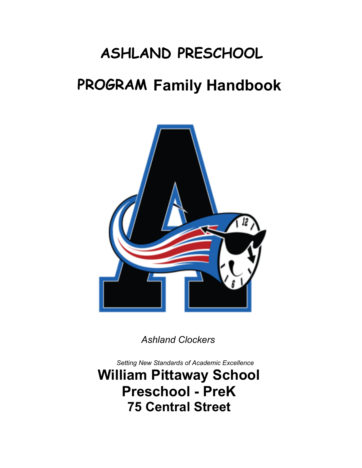# **ASHLAND PRESCHOOL**

## **PROGRAM Family Handbook**



*Ashland Clockers* 

*Setting New Standards of Academic Excellence*

**William Pittaway School Preschool - PreK 75 Central Street**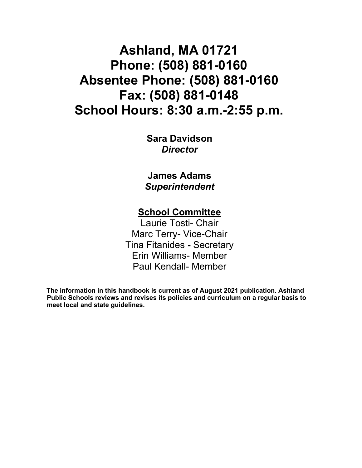## **Ashland, MA 01721 Phone: (508) 881-0160 Absentee Phone: (508) 881-0160 Fax: (508) 881-0148 School Hours: 8:30 a.m.-2:55 p.m.**

**Sara Davidson**  *Director* 

**James Adams**  *Superintendent* 

### **School Committee**

Laurie Tosti- Chair Marc Terry- Vice-Chair Tina Fitanides **-** Secretary Erin Williams- Member Paul Kendall- Member

**The information in this handbook is current as of August 2021 publication. Ashland Public Schools reviews and revises its policies and curriculum on a regular basis to meet local and state guidelines.**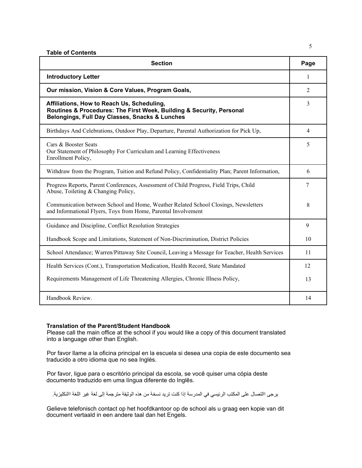|  | <b>Table of Contents</b> |  |
|--|--------------------------|--|
|--|--------------------------|--|

| <b>Section</b>                                                                                                                                                       |    |
|----------------------------------------------------------------------------------------------------------------------------------------------------------------------|----|
| <b>Introductory Letter</b>                                                                                                                                           |    |
| Our mission, Vision & Core Values, Program Goals,                                                                                                                    |    |
| Affiliations, How to Reach Us, Scheduling,<br>Routines & Procedures: The First Week, Building & Security, Personal<br>Belongings, Full Day Classes, Snacks & Lunches |    |
| Birthdays And Celebrations, Outdoor Play, Departure, Parental Authorization for Pick Up,                                                                             | 4  |
| Cars & Booster Seats<br>Our Statement of Philosophy For Curriculum and Learning Effectiveness<br>Enrollment Policy,                                                  |    |
| Withdraw from the Program, Tuition and Refund Policy, Confidentiality Plan; Parent Information,                                                                      |    |
| Progress Reports, Parent Conferences, Assessment of Child Progress, Field Trips, Child<br>Abuse, Toileting & Changing Policy,                                        |    |
| Communication between School and Home, Weather Related School Closings, Newsletters<br>and Informational Flyers, Toys from Home, Parental Involvement                |    |
| Guidance and Discipline, Conflict Resolution Strategies                                                                                                              |    |
| Handbook Scope and Limitations, Statement of Non-Discrimination, District Policies                                                                                   |    |
| School Attendance; Warren/Pittaway Site Council, Leaving a Message for Teacher, Health Services                                                                      |    |
| Health Services (Cont.), Transportation Medication, Health Record, State Mandated                                                                                    |    |
| Requirements Management of Life Threatening Allergies, Chronic Illness Policy,                                                                                       |    |
| Handbook Review.                                                                                                                                                     | 14 |

#### **Translation of the Parent/Student Handbook**

Please call the main office at the school if you would like a copy of this document translated into a language other than English.

Por favor llame a la oficina principal en la escuela si desea una copia de este documento sea traducido a otro idioma que no sea Inglés.

Por favor, ligue para o escritório principal da escola, se você quiser uma cópia deste documento traduzido em uma língua diferente do Inglês.

یرجى االتصال على المكتب الرئیسي في المدرسة إذا كنت ترید نسخة من ھذه الوثیقة مترجمة إلى لغة غیر اللغة االنكلیزیة.

Gelieve telefonisch contact op het hoofdkantoor op de school als u graag een kopie van dit document vertaald in een andere taal dan het Engels.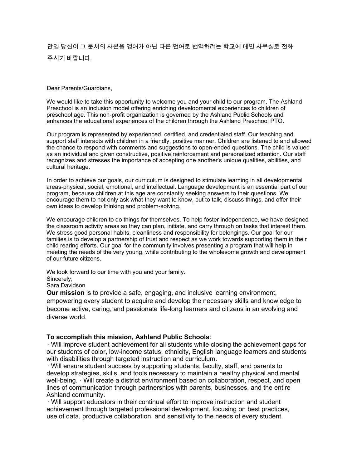### 만일 당신이 그 문서의 사본을 영어가 아닌 다른 언어로 번역하려는 학교에 메인 사무실로 전화 주시기 바랍니다.

#### Dear Parents/Guardians,

We would like to take this opportunity to welcome you and your child to our program. The Ashland Preschool is an inclusion model offering enriching developmental experiences to children of preschool age. This non-profit organization is governed by the Ashland Public Schools and enhances the educational experiences of the children through the Ashland Preschool PTO.

Our program is represented by experienced, certified, and credentialed staff. Our teaching and support staff interacts with children in a friendly, positive manner. Children are listened to and allowed the chance to respond with comments and suggestions to open-ended questions. The child is valued as an individual and given constructive, positive reinforcement and personalized attention. Our staff recognizes and stresses the importance of accepting one another's unique qualities, abilities, and cultural heritage.

In order to achieve our goals, our curriculum is designed to stimulate learning in all developmental areas-physical, social, emotional, and intellectual. Language development is an essential part of our program, because children at this age are constantly seeking answers to their questions. We encourage them to not only ask what they want to know, but to talk, discuss things, and offer their own ideas to develop thinking and problem-solving.

We encourage children to do things for themselves. To help foster independence, we have designed the classroom activity areas so they can plan, initiate, and carry through on tasks that interest them. We stress good personal habits, cleanliness and responsibility for belongings. Our goal for our families is to develop a partnership of trust and respect as we work towards supporting them in their child rearing efforts. Our goal for the community involves presenting a program that will help in meeting the needs of the very young, while contributing to the wholesome growth and development of our future citizens.

We look forward to our time with you and your family.

Sincerely,

Sara Davidson

**Our mission** is to provide a safe, engaging, and inclusive learning environment, empowering every student to acquire and develop the necessary skills and knowledge to become active, caring, and passionate life-long learners and citizens in an evolving and diverse world.

#### **To accomplish this mission, Ashland Public Schools**:

· Will improve student achievement for all students while closing the achievement gaps for our students of color, low-income status, ethnicity, English language learners and students with disabilities through targeted instruction and curriculum.

· Will ensure student success by supporting students, faculty, staff, and parents to develop strategies, skills, and tools necessary to maintain a healthy physical and mental well-being. · Will create a district environment based on collaboration, respect, and open lines of communication through partnerships with parents, businesses, and the entire Ashland community.

· Will support educators in their continual effort to improve instruction and student achievement through targeted professional development, focusing on best practices, use of data, productive collaboration, and sensitivity to the needs of every student.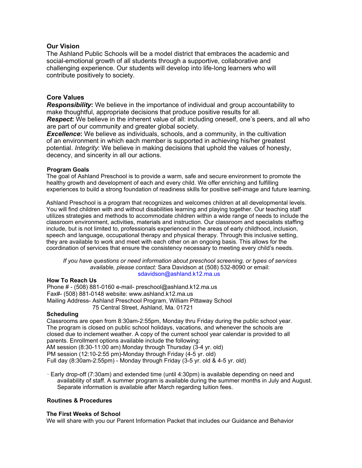#### **Our Vision**

The Ashland Public Schools will be a model district that embraces the academic and social-emotional growth of all students through a supportive, collaborative and challenging experience. Our students will develop into life-long learners who will contribute positively to society.

#### **Core Values**

*Responsibility***:** We believe in the importance of individual and group accountability to make thoughtful, appropriate decisions that produce positive results for all. **Respect:** We believe in the inherent value of all: including oneself, one's peers, and all who are part of our community and greater global society.

**Excellence:** We believe as individuals, schools, and a community, in the cultivation of an environment in which each member is supported in achieving his/her greatest potential. *Integrity*: We believe in making decisions that uphold the values of honesty, decency, and sincerity in all our actions.

#### **Program Goals**

The goal of Ashland Preschool is to provide a warm, safe and secure environment to promote the healthy growth and development of each and every child. We offer enriching and fulfilling experiences to build a strong foundation of readiness skills for positive self-image and future learning.

Ashland Preschool is a program that recognizes and welcomes children at all developmental levels. You will find children with and without disabilities learning and playing together. Our teaching staff utilizes strategies and methods to accommodate children within a wide range of needs to include the classroom environment, activities, materials and instruction. Our classroom and specialists staffing include, but is not limited to, professionals experienced in the areas of early childhood, inclusion, speech and language, occupational therapy and physical therapy. Through this inclusive setting, they are available to work and meet with each other on an ongoing basis. This allows for the coordination of services that ensure the consistency necessary to meeting every child's needs.

*If you have questions or need information about preschool screening, or types of services available, please contact:* Sara Davidson at (508) 532-8090 or email: sdavidson@ashland.k12.ma.us

#### **How To Reach Us**

Phone # - (508) 881-0160 e-mail- preschool@ashland.k12.ma.us Fax#- (508) 881-0148 website: www.ashland.k12.ma.us Mailing Address- Ashland Preschool Program, William Pittaway School 75 Central Street, Ashland, Ma. 01721

#### **Scheduling**

Classrooms are open from 8:30am-2:55pm, Monday thru Friday during the public school year. The program is closed on public school holidays, vacations, and whenever the schools are closed due to inclement weather. A copy of the current school year calendar is provided to all parents. Enrollment options available include the following: AM session (8:30-11:00 am) Monday through Thursday (3-4 yr. old) PM session (12:10-2:55 pm)-Monday through Friday (4-5 yr. old)

Full day (8:30am-2:55pm) - Monday through Friday (3-5 yr. old & 4-5 yr. old)

· Early drop-off (7:30am) and extended time (until 4:30pm) is available depending on need and availability of staff. A summer program is available during the summer months in July and August. Separate information is available after March regarding tuition fees.

#### **Routines & Procedures**

#### **The First Weeks of School**

We will share with you our Parent Information Packet that includes our Guidance and Behavior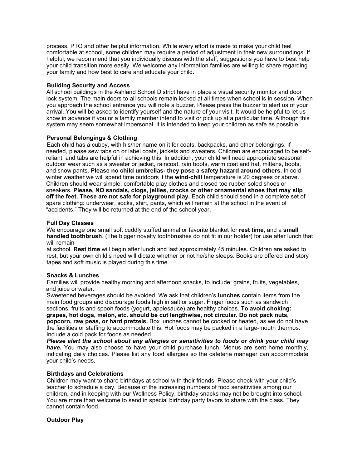process, PTO and other helpful information. While every effort is made to make your child feel comfortable at school, some children may require a period of adjustment in their new surroundings. If helpful, we recommend that you individually discuss with the staff, suggestions you have to best help your child transition more easily. We welcome any information families are willing to share regarding your family and how best to care and educate your child.

#### **Building Security and Access**

All school buildings in the Ashland School District have in place a visual security monitor and door lock system. The main doors to all schools remain locked at all times when school is in session. When you approach the school entrance you will note a buzzer. Please press the buzzer to alert us of your arrival. You will be asked to identify yourself and the nature of your visit. It would be helpful to let us know in advance if you or a family member intend to visit or pick up at a particular time. Although this system may seem somewhat impersonal, it is intended to keep your children as safe as possible.

#### **Personal Belongings & Clothing**

Each child has a cubby, with his/her name on it for coats, backpacks, and other belongings. If needed, please sew tabs on or label coats, jackets and sweaters. Children are encouraged to be selfreliant, and tabs are helpful in achieving this. In addition, your child will need appropriate seasonal outdoor wear such as a sweater or jacket, raincoat, rain boots, warm coat and hat, mittens, boots, and snow pants. **Please no child umbrellas- they pose a safety hazard around others.** In cold winter weather we will spend time outdoors if the **wind-chill** temperature is 20 degrees or above. Children should wear simple, comfortable play clothes and closed toe rubber soled shoes or sneakers. **Please, NO sandals, clogs, jellies, crocks or other ornamental shoes that may slip off the feet. These are not safe for playground play.** Each child should send in a complete set of spare clothing: underwear, socks, shirt, pants, which will remain at the school in the event of "accidents." They will be returned at the end of the school year.

#### **Full Day Classes**

We encourage one small soft cuddly stuffed animal or favorite blanket for **rest time**, and a **small handled toothbrush**. (The bigger novelty toothbrushes do not fit in our holder) for use after lunch that will remain

at school. **Rest time** will begin after lunch and last approximately 45 minutes. Children are asked to rest, but your own child's need will dictate whether or not he/she sleeps. Books are offered and story tapes and soft music is played during this time.

#### **Snacks & Lunches**

Families will provide healthy morning and afternoon snacks, to include: grains, fruits, vegetables, and juice or water.

Sweetened beverages should be avoided. We ask that children's **lunches** contain items from the main food groups and discourage foods high in salt or sugar. Finger foods such as sandwich sections, fruits and spoon foods (yogurt, applesauce) are healthy choices. **To avoid choking: grapes, hot dogs, melon, etc. should be cut lengthwise, not circular. Do not pack nuts, popcorn, raw peas, or hard pretzels.** Box lunches cannot be cooked or heated, as we do not have the facilities or staffing to accommodate this. Hot foods may be packed in a large-mouth thermos. Include a cold pack for foods as needed.

*Please alert the school about any allergies or sensitivities to foods or drink your child may have.* You may also choose to have your child purchase lunch. Menus are sent home monthly, indicating daily choices. Please list any food allergies so the cafeteria manager can accommodate your child's needs.

#### **Birthdays and Celebrations**

Children may want to share birthdays at school with their friends. Please check with your child's teacher to schedule a day. Because of the increasing numbers of food sensitivities among our children, and in keeping with our Wellness Policy, birthday snacks may not be brought into school. You are more than welcome to send in special birthday party favors to share with the class. They cannot contain food.

#### **Outdoor Play**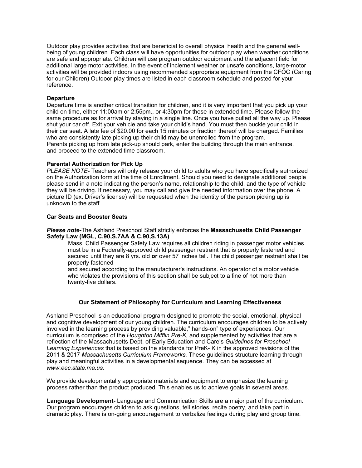Outdoor play provides activities that are beneficial to overall physical health and the general wellbeing of young children. Each class will have opportunities for outdoor play when weather conditions are safe and appropriate. Children will use program outdoor equipment and the adjacent field for additional large motor activities. In the event of inclement weather or unsafe conditions, large-motor activities will be provided indoors using recommended appropriate equipment from the CFOC (Caring for our Children) Outdoor play times are listed in each classroom schedule and posted for your reference.

#### **Departure**

Departure time is another critical transition for children, and it is very important that you pick up your child on time, either 11:00am or 2:55pm., or 4:30pm for those in extended time. Please follow the same procedure as for arrival by staying in a single line. Once you have pulled all the way up. Please shut your car off. Exit your vehicle and take your child's hand. You must then buckle your child in their car seat. A late fee of \$20.00 for each 15 minutes or fraction thereof will be charged. Families who are consistently late picking up their child may be unenrolled from the program. Parents picking up from late pick-up should park, enter the building through the main entrance, and proceed to the extended time classroom.

#### **Parental Authorization for Pick Up**

*PLEASE NOTE-* Teachers will only release your child to adults who you have specifically authorized on the Authorization form at the time of Enrollment. Should you need to designate additional people please send in a note indicating the person's name, relationship to the child, and the type of vehicle they will be driving. If necessary, you may call and give the needed information over the phone. A picture ID (ex. Driver's license) will be requested when the identity of the person picking up is unknown to the staff.

#### **Car Seats and Booster Seats**

#### *Please note-*The Ashland Preschool Staff strictly enforces the **Massachusetts Child Passenger Safety Law (MGL, C.90,S.7AA & C.90,S.13A)**

Mass. Child Passenger Safety Law requires all children riding in passenger motor vehicles must be in a Federally-approved child passenger restraint that is properly fastened and secured until they are 8 yrs. old **or** over 57 inches tall. The child passenger restraint shall be properly fastened

and secured according to the manufacturer's instructions. An operator of a motor vehicle who violates the provisions of this section shall be subject to a fine of not more than twenty-five dollars.

#### **Our Statement of Philosophy for Curriculum and Learning Effectiveness**

Ashland Preschool is an educational program designed to promote the social, emotional, physical and cognitive development of our young children. The curriculum encourages children to be actively involved in the learning process by providing valuable," hands-on" type of experiences. Our curriculum is comprised of the *Houghton Mifflin Pre-K,* and supplemented by activities that are a reflection of the Massachusetts Dept. of Early Education and Care's *Guidelines for Preschool Learning Experiences* that is based on the standards for PreK- K in the approved revisions of the 2011 & 2017 *Massachusetts Curriculum Frameworks.* These guidelines structure learning through play and meaningful activities in a developmental sequence. They can be accessed at *www.eec.state.ma.us.* 

We provide developmentally appropriate materials and equipment to emphasize the learning process rather than the product produced. This enables us to achieve goals in several areas.

**Language Development-** Language and Communication Skills are a major part of the curriculum. Our program encourages children to ask questions, tell stories, recite poetry, and take part in dramatic play. There is on-going encouragement to verbalize feelings during play and group time.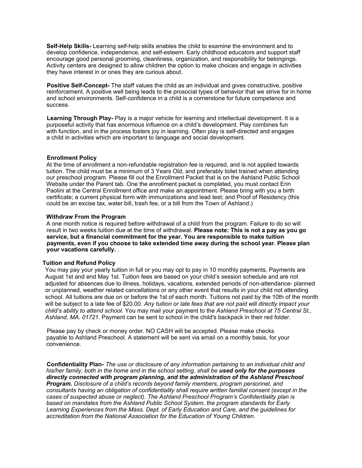**Self-Help Skills-** Learning self-help skills enables the child to examine the environment and to develop confidence, independence, and self-esteem. Early childhood educators and support staff encourage good personal grooming, cleanliness, organization, and responsibility for belongings. Activity centers are designed to allow children the option to make choices and engage in activities they have interest in or ones they are curious about.

**Positive Self-Concept-** The staff values the child as an individual and gives constructive, positive reinforcement. A positive well being leads to the prosocial types of behavior that we strive for in home and school environments. Self-confidence in a child is a cornerstone for future competence and success.

**Learning Through Play-** Play is a major vehicle for learning and intellectual development. It is a purposeful activity that has enormous influence on a child's development. Play combines fun with function, and in the process fosters joy in learning. Often play is self-directed and engages a child in activities which are important to language and social development.

#### **Enrollment Policy**

At the time of enrollment a non-refundable registration fee is required, and is not applied towards tuition. The child must be a minimum of 3 Years Old, and preferably toilet trained when attending our preschool program. Please fill out the Enrollment Packet that is on the Ashland Public School Website under the Parent tab. One the enrollment packet is completed, you must contact Erin Paolini at the Central Enrollment office and make an appointment. Please bring with you a birth certificate; a current physical form with immunizations and lead test; and Proof of Residency (this could be an excise tax, water bill, trash fee, or a bill from the Town of Ashland.)

#### **Withdraw From the Program**

A one month notice is required before withdrawal of a child from the program. Failure to do so will result in two weeks tuition due at the time of withdrawal. **Please note: This is not a pay as you go service, but a financial commitment for the year. You are responsible to make tuition payments, even if you choose to take extended time away during the school year. Please plan your vacations carefully.** .

#### **Tuition and Refund Policy**

You may pay your yearly tuition in full or you may opt to pay in 10 monthly payments, Payments are August 1st and end May 1st. Tuition fees are based on your child's session schedule and are not adjusted for absences due to illness, holidays, vacations, extended periods of non-attendance- planned or unplanned, weather related cancellations or any other event that results in your child not attending school. All tuitions are due on or before the 1st of each month. Tuitions not paid by the 10th of the month will be subject to a late fee of \$20.00. *Any tuition or late fees that are not paid will directly impact your child's ability to attend school.* You may mail your payment to the *Ashland Preschool at 75 Central St., Ashland, MA. 01721.* Payment can be sent to school in the child's backpack in their red folder.

Please pay by check or money order. NO CASH will be accepted. Please make checks payable to Ashland Preschool. A statement will be sent via email on a monthly basis, for your convenience.

**Confidentiality Plan-** *The use or disclosure of any information pertaining to an individual child and his/her family, both in the home and in the school setting, shall be used only for the purposes directly connected with program planning, and the administration of the Ashland Preschool Program. Disclosure of a child's records beyond family members, program personnel, and consultants having an obligation of confidentiality shall require written familial consent (except in the cases of suspected abuse or neglect). The Ashland Preschool Program's Confidentiality plan is based on mandates from the Ashland Public School System, the program standards for Early Learning Experiences from the Mass. Dept. of Early Education and Care, and the guidelines for accreditation from the National Association for the Education of Young Children.*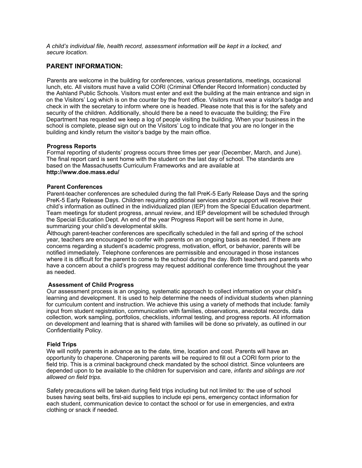*A child's individual file, health record, assessment information will be kept in a locked, and secure location.* 

#### **PARENT INFORMATION:**

Parents are welcome in the building for conferences, various presentations, meetings, occasional lunch, etc. All visitors must have a valid CORI (Criminal Offender Record Information) conducted by the Ashland Public Schools. Visitors must enter and exit the building at the main entrance and sign in on the Visitors' Log which is on the counter by the front office. Visitors must wear a visitor's badge and check in with the secretary to inform where one is headed. Please note that this is for the safety and security of the children. Additionally, should there be a need to evacuate the building; the Fire Department has requested we keep a log of people visiting the building. When your business in the school is complete, please sign out on the Visitors' Log to indicate that you are no longer in the building and kindly return the visitor's badge by the main office.

#### **Progress Reports**

Formal reporting of students' progress occurs three times per year (December, March, and June). The final report card is sent home with the student on the last day of school. The standards are based on the Massachusetts Curriculum Frameworks and are available at **http://www.doe.mass.edu/** 

#### **Parent Conferences**

Parent-teacher conferences are scheduled during the fall PreK-5 Early Release Days and the spring PreK-5 Early Release Days. Children requiring additional services and/or support will receive their child's information as outlined in the individualized plan (IEP) from the Special Education department. Team meetings for student progress, annual review, and IEP development will be scheduled through the Special Education Dept. An end of the year Progress Report will be sent home in June, summarizing your child's developmental skills.

Although parent-teacher conferences are specifically scheduled in the fall and spring of the school year, teachers are encouraged to confer with parents on an ongoing basis as needed. If there are concerns regarding a student's academic progress, motivation, effort, or behavior, parents will be notified immediately. Telephone conferences are permissible and encouraged in those instances where it is difficult for the parent to come to the school during the day. Both teachers and parents who have a concern about a child's progress may request additional conference time throughout the year as needed.

#### **Assessment of Child Progress**

Our assessment process is an ongoing, systematic approach to collect information on your child's learning and development. It is used to help determine the needs of individual students when planning for curriculum content and instruction. We achieve this using a variety of methods that include: family input from student registration, communication with families, observations, anecdotal records, data collection, work sampling, portfolios, checklists, informal testing, and progress reports. All information on development and learning that is shared with families will be done so privately, as outlined in our Confidentiality Policy.

#### **Field Trips**

We will notify parents in advance as to the date, time, location and cost. Parents will have an opportunity to chaperone. Chaperoning parents will be required to fill out a CORI form prior to the field trip. This is a criminal background check mandated by the school district. Since volunteers are depended upon to be available to the children for supervision and care, *infants and siblings are not allowed on field trips.* 

Safety precautions will be taken during field trips including but not limited to: the use of school buses having seat belts, first-aid supplies to include epi pens, emergency contact information for each student, communication device to contact the school or for use in emergencies, and extra clothing or snack if needed.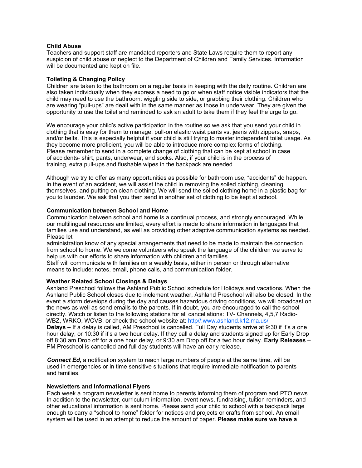#### **Child Abuse**

Teachers and support staff are mandated reporters and State Laws require them to report any suspicion of child abuse or neglect to the Department of Children and Family Services. Information will be documented and kept on file.

#### **Toileting & Changing Policy**

Children are taken to the bathroom on a regular basis in keeping with the daily routine. Children are also taken individually when they express a need to go or when staff notice visible indicators that the child may need to use the bathroom: wiggling side to side, or grabbing their clothing. Children who are wearing "pull-ups" are dealt with in the same manner as those in underwear. They are given the opportunity to use the toilet and reminded to ask an adult to take them if they feel the urge to go.

We encourage your child's active participation in the routine so we ask that you send your child in clothing that is easy for them to manage; pull-on elastic waist pants vs. jeans with zippers, snaps, and/or belts. This is especially helpful if your child is still trying to master independent toilet usage. As they become more proficient, you will be able to introduce more complex forms of clothing. Please remember to send in a complete change of clothing that can be kept at school in case of accidents- shirt, pants, underwear, and socks. Also, if your child is in the process of training, extra pull-ups and flushable wipes in the backpack are needed.

Although we try to offer as many opportunities as possible for bathroom use, "accidents" do happen. In the event of an accident, we will assist the child in removing the soiled clothing, cleaning themselves, and putting on clean clothing. We will send the soiled clothing home in a plastic bag for you to launder. We ask that you then send in another set of clothing to be kept at school.

#### **Communication between School and Home**

Communication between school and home is a continual process, and strongly encouraged. While our multilingual resources are limited, every effort is made to share information in languages that families use and understand, as well as providing other adaptive communication systems as needed. Please let

administration know of any special arrangements that need to be made to maintain the connection from school to home. We welcome volunteers who speak the language of the children we serve to help us with our efforts to share information with children and families.

Staff will communicate with families on a weekly basis, either in person or through alternative means to include: notes, email, phone calls, and communication folder.

#### **Weather Related School Closings & Delays**

Ashland Preschool follows the Ashland Public School schedule for Holidays and vacations. When the Ashland Public School closes due to inclement weather, Ashland Preschool will also be closed. In the event a storm develops during the day and causes hazardous driving conditions, we will broadcast on the news as well as send emails to the parents. If in doubt, you are encouraged to call the school directly. Watch or listen to the following stations for all cancellations: TV- Channels, 4,5,7 Radio-WBZ, WRKO, WCVB, or check the school website at: http//:www.ashland.k12.ma.us/ **Delays –** If a delay is called, AM Preschool is cancelled. Full Day students arrive at 9:30 if it's a one hour delay, or 10:30 if it's a two hour delay. If they call a delay and students signed up for Early Drop off 8:30 am Drop off for a one hour delay, or 9:30 am Drop off for a two hour delay. **Early Releases** – PM Preschool is cancelled and full day students will have an early release.

*Connect Ed,* a notification system to reach large numbers of people at the same time, will be used in emergencies or in time sensitive situations that require immediate notification to parents and families.

#### **Newsletters and Informational Flyers**

Each week a program newsletter is sent home to parents informing them of program and PTO news. In addition to the newsletter, curriculum information, event news, fundraising, tuition reminders, and other educational information is sent home. Please send your child to school with a backpack large enough to carry a "school to home" folder for notices and projects or crafts from school. An email system will be used in an attempt to reduce the amount of paper. **Please make sure we have a**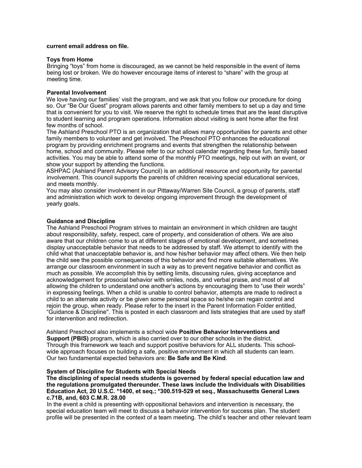#### **current email address on file.**

#### **Toys from Home**

Bringing "toys" from home is discouraged, as we cannot be held responsible in the event of items being lost or broken. We do however encourage items of interest to "share" with the group at meeting time.

#### **Parental Involvement**

We love having our families' visit the program, and we ask that you follow our procedure for doing so. Our "Be Our Guest" program allows parents and other family members to set up a day and time that is convenient for you to visit. We reserve the right to schedule times that are the least disruptive to student learning and program operations. Information about visiting is sent home after the first few months of school.

The Ashland Preschool PTO is an organization that allows many opportunities for parents and other family members to volunteer and get involved. The Preschool PTO enhances the educational program by providing enrichment programs and events that strengthen the relationship between home, school and community. Please refer to our school calendar regarding these fun, family based activities. You may be able to attend some of the monthly PTO meetings, help out with an event, or show your support by attending the functions.

ASHPAC (Ashland Parent Advisory Council) is an additional resource and opportunity for parental involvement. This council supports the parents of children receiving special educational services, and meets monthly.

You may also consider involvement in our Pittaway/Warren Site Council, a group of parents, staff and administration which work to develop ongoing improvement through the development of yearly goals.

#### **Guidance and Discipline**

The Ashland Preschool Program strives to maintain an environment in which children are taught about responsibility, safety, respect, care of property, and consideration of others. We are also aware that our children come to us at different stages of emotional development, and sometimes display unacceptable behavior that needs to be addressed by staff. We attempt to identify with the child what that unacceptable behavior is, and how his/her behavior may affect others. We then help the child see the possible consequences of this behavior and find more suitable alternatives. We arrange our classroom environment in such a way as to prevent negative behavior and conflict as much as possible. We accomplish this by setting limits, discussing rules, giving acceptance and acknowledgement for prosocial behavior with smiles, nods, and verbal praise, and most of all allowing the children to understand one another's actions by encouraging them to "use their words" in expressing feelings. When a child is unable to control behavior, attempts are made to redirect a child to an alternate activity or be given some personal space so he/she can regain control and rejoin the group, when ready. Please refer to the insert in the Parent Information Folder entitled, "Guidance & Discipline''. This is posted in each classroom and lists strategies that are used by staff for intervention and redirection.

Ashland Preschool also implements a school wide **Positive Behavior Interventions and Support (PBIS)** program, which is also carried over to our other schools in the district. Through this framework we teach and support positive behaviors for ALL students. This schoolwide approach focuses on building a safe, positive environment in which all students can learn. Our two fundamental expected behaviors are: **Be Safe and Be Kind**.

#### **System of Discipline for Students with Special Needs**

**The disciplining of special needs students is governed by federal special education law and the regulations promulgated thereunder. These laws include the Individuals with Disabilities Education Act, 20 U.S.C. \*1400, et seq.; \*300.519-529 et seq., Massachusetts General Laws c.71B, and, 603 C.M.R. 28.00** 

In the event a child is presenting with oppositional behaviors and intervention is necessary, the special education team will meet to discuss a behavior intervention for success plan. The student profile will be presented in the context of a team meeting. The child's teacher and other relevant team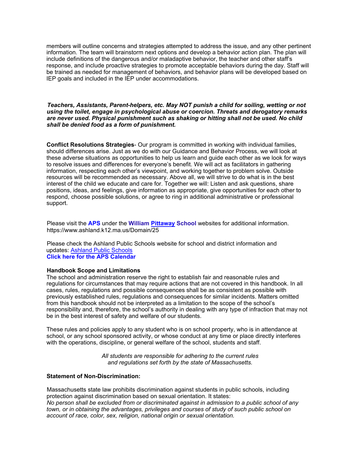members will outline concerns and strategies attempted to address the issue, and any other pertinent information. The team will brainstorm next options and develop a behavior action plan. The plan will include definitions of the dangerous and/or maladaptive behavior, the teacher and other staff's response, and include proactive strategies to promote acceptable behaviors during the day. Staff will be trained as needed for management of behaviors, and behavior plans will be developed based on IEP goals and included in the IEP under accommodations.

#### *Teachers, Assistants, Parent-helpers, etc. May NOT punish a child for soiling, wetting or not using the toilet, engage in psychological abuse or coercion. Threats and derogatory remarks are never used. Physical punishment such as shaking or hitting shall not be used. No child shall be denied food as a form of punishment.*

**Conflict Resolutions Strategies**- Our program is committed in working with individual families, should differences arise. Just as we do with our Guidance and Behavior Process, we will look at these adverse situations as opportunities to help us learn and guide each other as we look for ways to resolve issues and differences for everyone's benefit. We will act as facilitators in gathering information, respecting each other's viewpoint, and working together to problem solve. Outside resources will be recommended as necessary. Above all, we will strive to do what is in the best interest of the child we educate and care for. Together we will: Listen and ask questions, share positions, ideas, and feelings, give information as appropriate, give opportunities for each other to respond, choose possible solutions, or agree to ring in additional administrative or professional support.

Please visit the **APS** under the **William [Pittaway](http://pittaway.ashland.k12.ma.us/registration) School** websites for additional information. https://www.ashland.k12.ma.us/Domain/25

Please check the Ashland Public Schools website for school and district information and updates: [Ashland Public Schools](http://www.ashland.k12.ma.us) **Click here for the APS Calendar** 

#### **Handbook Scope and Limitations**

The school and administration reserve the right to establish fair and reasonable rules and regulations for circumstances that may require actions that are not covered in this handbook. In all cases, rules, regulations and possible consequences shall be as consistent as possible with previously established rules, regulations and consequences for similar incidents. Matters omitted from this handbook should not be interpreted as a limitation to the scope of the school's responsibility and, therefore, the school's authority in dealing with any type of infraction that may not be in the best interest of safety and welfare of our students.

These rules and policies apply to any student who is on school property, who is in attendance at school, or any school sponsored activity, or whose conduct at any time or place directly interferes with the operations, discipline, or general welfare of the school, students and staff.

> *All students are responsible for adhering to the current rules and regulations set forth by the state of Massachusetts.*

#### **Statement of Non-Discrimination:**

Massachusetts state law prohibits discrimination against students in public schools, including protection against discrimination based on sexual orientation. It states: *No person shall be excluded from or discriminated against in admission to a public school of any town, or in obtaining the advantages, privileges and courses of study of such public school on account of race, color, sex, religion, national origin or sexual orientation.*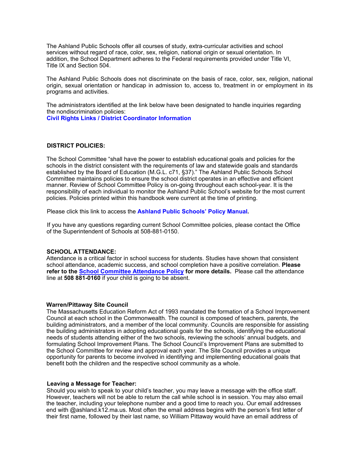The Ashland Public Schools offer all courses of study, extra-curricular activities and school services without regard of race, color, sex, religion, national origin or sexual orientation. In addition, the School Department adheres to the Federal requirements provided under Title VI, Title IX and Section 504.

The Ashland Public Schools does not discriminate on the basis of race, color, sex, religion, national origin, sexual orientation or handicap in admission to, access to, treatment in or employment in its programs and activities.

The administrators identified at the link below have been designated to handle inquiries regarding the nondiscrimination policies: **Civil Rights Links / District Coordinator Information** 

#### **DISTRICT POLICIES:**

The School Committee "shall have the power to establish educational goals and policies for the schools in the district consistent with the requirements of law and statewide goals and standards established by the Board of Education (M.G.L. c71, §37)." The Ashland Public Schools School Committee maintains policies to ensure the school district operates in an effective and efficient manner. Review of School Committee Policy is on-going throughout each school-year. It is the responsibility of each individual to monitor the Ashland Public School's website for the most current policies. Policies printed within this handbook were current at the time of printing.

Please click this link to access the **Ashland Public Schools' Policy Manual***.* 

If you have any questions regarding current School Committee policies, please contact the Office of the Superintendent of Schools at 508-881-0150.

#### **SCHOOL ATTENDANCE:**

Attendance is a critical factor in school success for students. Studies have shown that consistent school attendance, academic success, and school completion have a positive correlation. **Please refer to the [School Committee Attendance Policy](https://z2policy.ctspublish.com/masc/browse/ashlandset/ashland/JH) for more details.** Please call the attendance line at **508 881-0160** if your child is going to be absent.

#### **Warren/Pittaway Site Council**

The Massachusetts Education Reform Act of 1993 mandated the formation of a School Improvement Council at each school in the Commonwealth. The council is composed of teachers, parents, the building administrators, and a member of the local community. Councils are responsible for assisting the building administrators in adopting educational goals for the schools, identifying the educational needs of students attending either of the two schools, reviewing the schools' annual budgets, and formulating School Improvement Plans. The School Council's Improvement Plans are submitted to the School Committee for review and approval each year. The Site Council provides a unique opportunity for parents to become involved in identifying and implementing educational goals that benefit both the children and the respective school community as a whole.

#### **Leaving a Message for Teacher:**

Should you wish to speak to your child's teacher, you may leave a message with the office staff. However, teachers will not be able to return the call while school is in session. You may also email the teacher, including your telephone number and a good time to reach you. Our email addresses end with @ashland.k12.ma.us. Most often the email address begins with the person's first letter of their first name, followed by their last name, so William Pittaway would have an email address of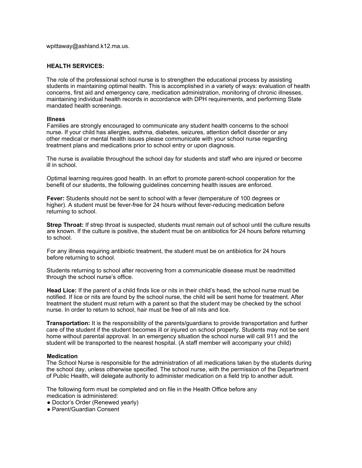wpittaway@ashland.k12.ma.us.

#### **HEALTH SERVICES:**

The role of the professional school nurse is to strengthen the educational process by assisting students in maintaining optimal health. This is accomplished in a variety of ways: evaluation of health concerns, first aid and emergency care, medication administration, monitoring of chronic illnesses, maintaining individual health records in accordance with DPH requirements, and performing State mandated health screenings.

#### **Illness**

Families are strongly encouraged to communicate any student health concerns to the school nurse. If your child has allergies, asthma, diabetes, seizures, attention deficit disorder or any other medical or mental health issues please communicate with your school nurse regarding treatment plans and medications prior to school entry or upon diagnosis.

The nurse is available throughout the school day for students and staff who are injured or become ill in school.

Optimal learning requires good health. In an effort to promote parent-school cooperation for the benefit of our students, the following guidelines concerning health issues are enforced.

**Fever:** Students should not be sent to school with a fever (temperature of 100 degrees or higher). A student must be fever-free for 24 hours without fever-reducing medication before returning to school.

**Strep Throat:** If strep throat is suspected, students must remain out of school until the culture results are known. If the culture is positive, the student must be on antibiotics for 24 hours before returning to school.

For any illness requiring antibiotic treatment, the student must be on antibiotics for 24 hours before returning to school.

Students returning to school after recovering from a communicable disease must be readmitted through the school nurse's office.

**Head Lice:** If the parent of a child finds lice or nits in their child's head, the school nurse must be notified. If lice or nits are found by the school nurse, the child will be sent home for treatment. After treatment the student must return with a parent so that the student may be checked by the school nurse. In order to return to school, hair must be free of all nits and lice.

**Transportation:** It is the responsibility of the parents/guardians to provide transportation and further care of the student if the student becomes ill or injured on school property. Students may not be sent home without parental approval. In an emergency situation the school nurse will call 911 and the student will be transported to the nearest hospital. (A staff member will accompany your child)

#### **Medication**

The School Nurse is responsible for the administration of all medications taken by the students during the school day, unless otherwise specified. The school nurse, with the permission of the Department of Public Health, will delegate authority to administer medication on a field trip to another adult.

The following form must be completed and on file in the Health Office before any medication is administered:

- Doctor's Order (Renewed yearly)
- Parent/Guardian Consent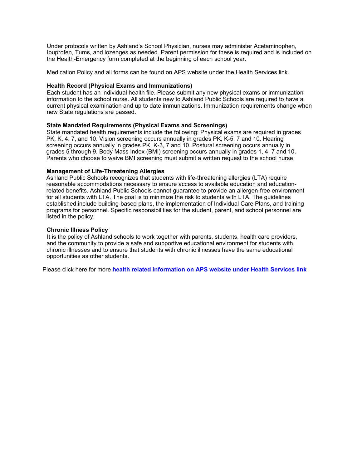Under protocols written by Ashland's School Physician, nurses may administer Acetaminophen, Ibuprofen, Tums, and lozenges as needed. Parent permission for these is required and is included on the Health-Emergency form completed at the beginning of each school year.

Medication Policy and all forms can be found on APS website under the Health Services link.

#### **Health Record (Physical Exams and Immunizations)**

Each student has an individual health file. Please submit any new physical exams or immunization information to the school nurse. All students new to Ashland Public Schools are required to have a current physical examination and up to date immunizations. Immunization requirements change when new State regulations are passed.

#### **State Mandated Requirements (Physical Exams and Screenings)**

State mandated health requirements include the following: Physical exams are required in grades PK, K, 4, 7, and 10. Vision screening occurs annually in grades PK, K-5, 7 and 10. Hearing screening occurs annually in grades PK, K-3, 7 and 10. Postural screening occurs annually in grades 5 through 9. Body Mass Index (BMI) screening occurs annually in grades 1, 4, 7 and 10. Parents who choose to waive BMI screening must submit a written request to the school nurse.

#### **Management of Life-Threatening Allergies**

Ashland Public Schools recognizes that students with life-threatening allergies (LTA) require reasonable accommodations necessary to ensure access to available education and educationrelated benefits. Ashland Public Schools cannot guarantee to provide an allergen-free environment for all students with LTA. The goal is to minimize the risk to students with LTA. The guidelines established include building-based plans, the implementation of Individual Care Plans, and training programs for personnel. Specific responsibilities for the student, parent, and school personnel are listed in the policy.

#### **Chronic Illness Policy**

It is the policy of Ashland schools to work together with parents, students, health care providers, and the community to provide a safe and supportive educational environment for students with chronic illnesses and to ensure that students with chronic illnesses have the same educational opportunities as other students.

Please click here for more **health related information on APS website under Health Services link**